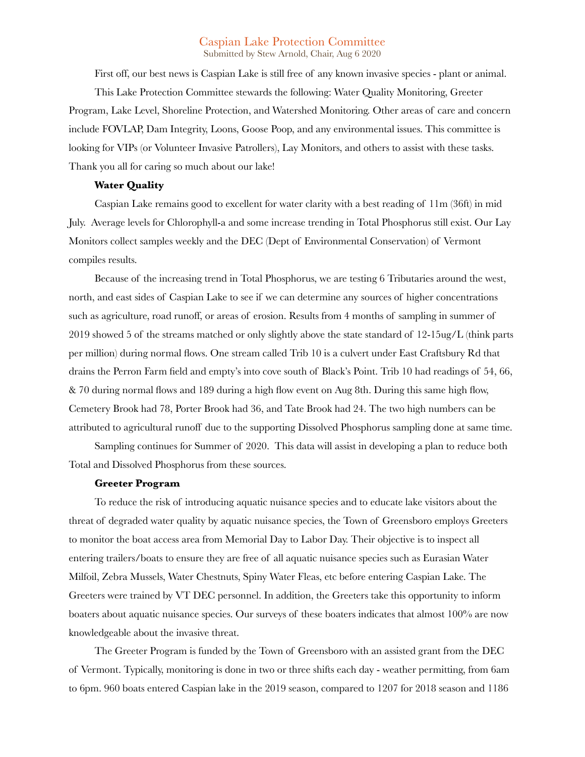# Caspian Lake Protection Committee

Submitted by Stew Arnold, Chair, Aug 6 2020

First off, our best news is Caspian Lake is still free of any known invasive species - plant or animal. This Lake Protection Committee stewards the following: Water Quality Monitoring, Greeter Program, Lake Level, Shoreline Protection, and Watershed Monitoring. Other areas of care and concern include FOVLAP, Dam Integrity, Loons, Goose Poop, and any environmental issues. This committee is looking for VIPs (or Volunteer Invasive Patrollers), Lay Monitors, and others to assist with these tasks. Thank you all for caring so much about our lake!

#### **Water Quality**

Caspian Lake remains good to excellent for water clarity with a best reading of 11m (36ft) in mid July. Average levels for Chlorophyll-a and some increase trending in Total Phosphorus still exist. Our Lay Monitors collect samples weekly and the DEC (Dept of Environmental Conservation) of Vermont compiles results.

Because of the increasing trend in Total Phosphorus, we are testing 6 Tributaries around the west, north, and east sides of Caspian Lake to see if we can determine any sources of higher concentrations such as agriculture, road runoff, or areas of erosion. Results from 4 months of sampling in summer of 2019 showed 5 of the streams matched or only slightly above the state standard of 12-15ug/L (think parts per million) during normal flows. One stream called Trib 10 is a culvert under East Craftsbury Rd that drains the Perron Farm field and empty's into cove south of Black's Point. Trib 10 had readings of 54, 66, & 70 during normal flows and 189 during a high flow event on Aug 8th. During this same high flow, Cemetery Brook had 78, Porter Brook had 36, and Tate Brook had 24. The two high numbers can be attributed to agricultural runoff due to the supporting Dissolved Phosphorus sampling done at same time.

Sampling continues for Summer of 2020. This data will assist in developing a plan to reduce both Total and Dissolved Phosphorus from these sources.

#### **Greeter Program**

To reduce the risk of introducing aquatic nuisance species and to educate lake visitors about the threat of degraded water quality by aquatic nuisance species, the Town of Greensboro employs Greeters to monitor the boat access area from Memorial Day to Labor Day. Their objective is to inspect all entering trailers/boats to ensure they are free of all aquatic nuisance species such as Eurasian Water Milfoil, Zebra Mussels, Water Chestnuts, Spiny Water Fleas, etc before entering Caspian Lake. The Greeters were trained by VT DEC personnel. In addition, the Greeters take this opportunity to inform boaters about aquatic nuisance species. Our surveys of these boaters indicates that almost 100% are now knowledgeable about the invasive threat.

The Greeter Program is funded by the Town of Greensboro with an assisted grant from the DEC of Vermont. Typically, monitoring is done in two or three shifts each day - weather permitting, from 6am to 6pm. 960 boats entered Caspian lake in the 2019 season, compared to 1207 for 2018 season and 1186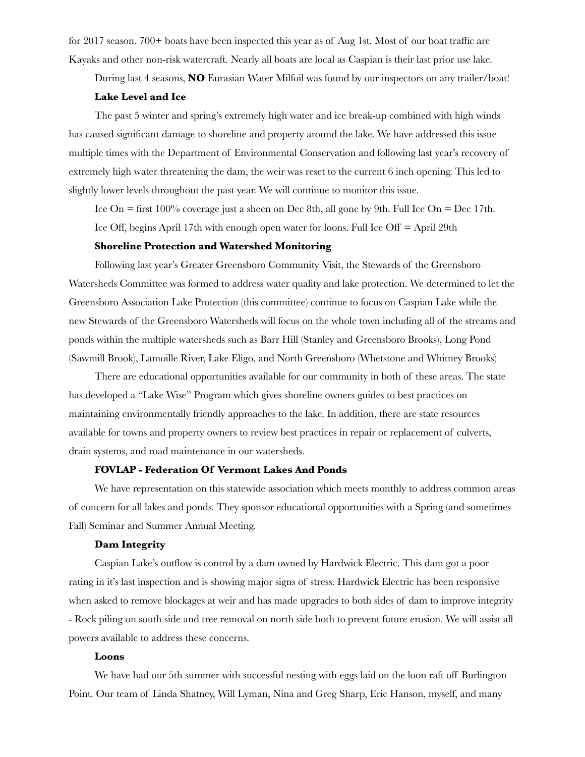for 2017 season. 700+ boats have been inspected this year as of Aug 1st. Most of our boat traffic are Kayaks and other non-risk watercraft. Nearly all boats are local as Caspian is their last prior use lake.

During last 4 seasons, **NO** Eurasian Water Milfoil was found by our inspectors on any trailer/boat!

## **Lake Level and Ice**

The past 5 winter and spring's extremely high water and ice break-up combined with high winds has caused significant damage to shoreline and property around the lake. We have addressed this issue multiple times with the Department of Environmental Conservation and following last year's recovery of extremely high water threatening the dam, the weir was reset to the current 6 inch opening. This led to slightly lower levels throughout the past year. We will continue to monitor this issue.

Ice On = first  $100\%$  coverage just a sheen on Dec 8th, all gone by 9th. Full Ice On = Dec 17th.

Ice Off, begins April 17th with enough open water for loons. Full Ice Off = April 29th

# **Shoreline Protection and Watershed Monitoring**

Following last year's Greater Greensboro Community Visit, the Stewards of the Greensboro Watersheds Committee was formed to address water quality and lake protection. We determined to let the Greensboro Association Lake Protection (this committee) continue to focus on Caspian Lake while the new Stewards of the Greensboro Watersheds will focus on the whole town including all of the streams and ponds within the multiple watersheds such as Barr Hill (Stanley and Greensboro Brooks), Long Pond (Sawmill Brook), Lamoille River, Lake Eligo, and North Greensboro (Whetstone and Whitney Brooks)

There are educational opportunities available for our community in both of these areas. The state has developed a "Lake Wise" Program which gives shoreline owners guides to best practices on maintaining environmentally friendly approaches to the lake. In addition, there are state resources available for towns and property owners to review best practices in repair or replacement of culverts, drain systems, and road maintenance in our watersheds.

## **FOVLAP - Federation Of Vermont Lakes And Ponds**

We have representation on this statewide association which meets monthly to address common areas of concern for all lakes and ponds. They sponsor educational opportunities with a Spring (and sometimes Fall) Seminar and Summer Annual Meeting.

#### **Dam Integrity**

Caspian Lake's outflow is control by a dam owned by Hardwick Electric. This dam got a poor rating in it's last inspection and is showing major signs of stress. Hardwick Electric has been responsive when asked to remove blockages at weir and has made upgrades to both sides of dam to improve integrity - Rock piling on south side and tree removal on north side both to prevent future erosion. We will assist all powers available to address these concerns.

# **Loons**

We have had our 5th summer with successful nesting with eggs laid on the loon raft off Burlington Point. Our team of Linda Shatney, Will Lyman, Nina and Greg Sharp, Eric Hanson, myself, and many